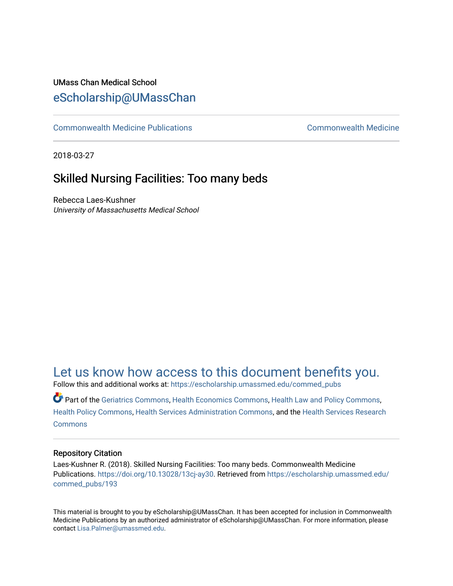## UMass Chan Medical School [eScholarship@UMassChan](https://escholarship.umassmed.edu/)

[Commonwealth Medicine Publications](https://escholarship.umassmed.edu/commed_pubs) [Commonwealth Medicine](https://escholarship.umassmed.edu/commed) 

2018-03-27

## Skilled Nursing Facilities: Too many beds

Rebecca Laes-Kushner University of Massachusetts Medical School

[Let us know how access to this document benefits you.](https://arcsapps.umassmed.edu/redcap/surveys/?s=XWRHNF9EJE) 

Follow this and additional works at: [https://escholarship.umassmed.edu/commed\\_pubs](https://escholarship.umassmed.edu/commed_pubs?utm_source=escholarship.umassmed.edu%2Fcommed_pubs%2F193&utm_medium=PDF&utm_campaign=PDFCoverPages)

Part of the [Geriatrics Commons,](http://network.bepress.com/hgg/discipline/688?utm_source=escholarship.umassmed.edu%2Fcommed_pubs%2F193&utm_medium=PDF&utm_campaign=PDFCoverPages) [Health Economics Commons,](http://network.bepress.com/hgg/discipline/1085?utm_source=escholarship.umassmed.edu%2Fcommed_pubs%2F193&utm_medium=PDF&utm_campaign=PDFCoverPages) [Health Law and Policy Commons,](http://network.bepress.com/hgg/discipline/901?utm_source=escholarship.umassmed.edu%2Fcommed_pubs%2F193&utm_medium=PDF&utm_campaign=PDFCoverPages) [Health Policy Commons,](http://network.bepress.com/hgg/discipline/395?utm_source=escholarship.umassmed.edu%2Fcommed_pubs%2F193&utm_medium=PDF&utm_campaign=PDFCoverPages) [Health Services Administration Commons,](http://network.bepress.com/hgg/discipline/747?utm_source=escholarship.umassmed.edu%2Fcommed_pubs%2F193&utm_medium=PDF&utm_campaign=PDFCoverPages) and the [Health Services Research](http://network.bepress.com/hgg/discipline/816?utm_source=escholarship.umassmed.edu%2Fcommed_pubs%2F193&utm_medium=PDF&utm_campaign=PDFCoverPages)  **[Commons](http://network.bepress.com/hgg/discipline/816?utm_source=escholarship.umassmed.edu%2Fcommed_pubs%2F193&utm_medium=PDF&utm_campaign=PDFCoverPages)** 

#### Repository Citation

Laes-Kushner R. (2018). Skilled Nursing Facilities: Too many beds. Commonwealth Medicine Publications. [https://doi.org/10.13028/13cj-ay30.](https://doi.org/10.13028/13cj-ay30) Retrieved from [https://escholarship.umassmed.edu/](https://escholarship.umassmed.edu/commed_pubs/193?utm_source=escholarship.umassmed.edu%2Fcommed_pubs%2F193&utm_medium=PDF&utm_campaign=PDFCoverPages) [commed\\_pubs/193](https://escholarship.umassmed.edu/commed_pubs/193?utm_source=escholarship.umassmed.edu%2Fcommed_pubs%2F193&utm_medium=PDF&utm_campaign=PDFCoverPages) 

This material is brought to you by eScholarship@UMassChan. It has been accepted for inclusion in Commonwealth Medicine Publications by an authorized administrator of eScholarship@UMassChan. For more information, please contact [Lisa.Palmer@umassmed.edu.](mailto:Lisa.Palmer@umassmed.edu)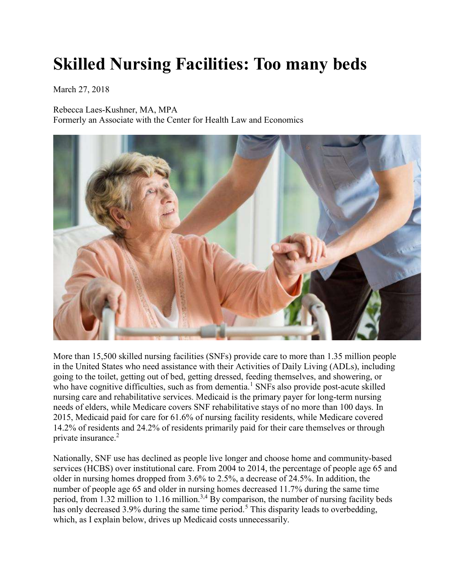# Skilled Nursing Facilities: Too many beds

March 27, 2018

Rebecca Laes-Kushner, MA, MPA Formerly an Associate with the Center for Health Law and Economics



More than 15,500 skilled nursing facilities (SNFs) provide care to more than 1.35 million people in the United States who need assistance with their Activities of Daily Living (ADLs), including going to the toilet, getting out of bed, getting dressed, feeding themselves, and showering, or who have cognitive difficulties, such as from dementia.<sup>1</sup> SNFs also provide post-acute skilled nursing care and rehabilitative services. Medicaid is the primary payer for long-term nursing needs of elders, while Medicare covers SNF rehabilitative stays of no more than 100 days. In 2015, Medicaid paid for care for 61.6% of nursing facility residents, while Medicare covered 14.2% of residents and 24.2% of residents primarily paid for their care themselves or through private insurance.<sup>2</sup>

Nationally, SNF use has declined as people live longer and choose home and community-based services (HCBS) over institutional care. From 2004 to 2014, the percentage of people age 65 and older in nursing homes dropped from 3.6% to 2.5%, a decrease of 24.5%. In addition, the number of people age 65 and older in nursing homes decreased 11.7% during the same time period, from 1.32 million to 1.16 million.<sup>3,4</sup> By comparison, the number of nursing facility beds has only decreased 3.9% during the same time period.<sup>5</sup> This disparity leads to overbedding, which, as I explain below, drives up Medicaid costs unnecessarily.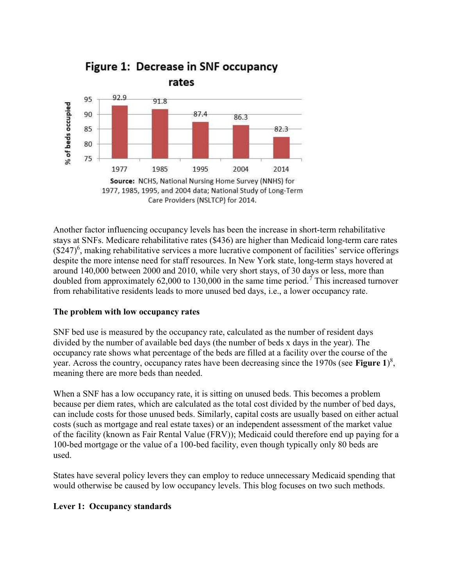

Another factor influencing occupancy levels has been the increase in short-term rehabilitative stays at SNFs. Medicare rehabilitative rates (\$436) are higher than Medicaid long-term care rates  $(\$247)$ <sup>6</sup>, making rehabilitative services a more lucrative component of facilities' service offerings despite the more intense need for staff resources. In New York state, long-term stays hovered at around 140,000 between 2000 and 2010, while very short stays, of 30 days or less, more than doubled from approximately 62,000 to 130,000 in the same time period.<sup>7</sup> This increased turnover from rehabilitative residents leads to more unused bed days, i.e., a lower occupancy rate.

#### The problem with low occupancy rates

SNF bed use is measured by the occupancy rate, calculated as the number of resident days divided by the number of available bed days (the number of beds x days in the year). The occupancy rate shows what percentage of the beds are filled at a facility over the course of the year. Across the country, occupancy rates have been decreasing since the 1970s (see Figure 1)<sup>8</sup>, meaning there are more beds than needed.

When a SNF has a low occupancy rate, it is sitting on unused beds. This becomes a problem because per diem rates, which are calculated as the total cost divided by the number of bed days, can include costs for those unused beds. Similarly, capital costs are usually based on either actual costs (such as mortgage and real estate taxes) or an independent assessment of the market value of the facility (known as Fair Rental Value (FRV)); Medicaid could therefore end up paying for a 100-bed mortgage or the value of a 100-bed facility, even though typically only 80 beds are used.

States have several policy levers they can employ to reduce unnecessary Medicaid spending that would otherwise be caused by low occupancy levels. This blog focuses on two such methods.

#### Lever 1: Occupancy standards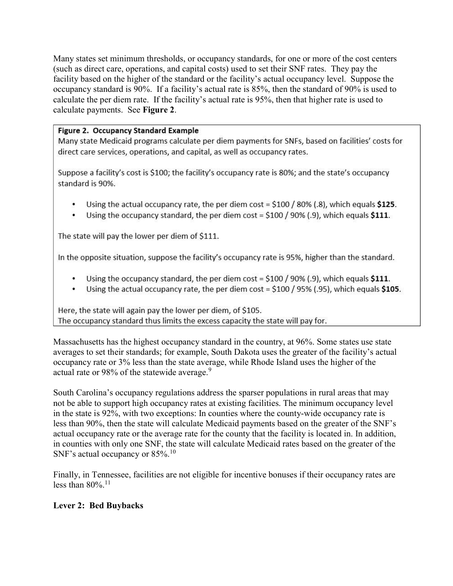Many states set minimum thresholds, or occupancy standards, for one or more of the cost centers (such as direct care, operations, and capital costs) used to set their SNF rates. They pay the facility based on the higher of the standard or the facility's actual occupancy level. Suppose the occupancy standard is 90%. If a facility's actual rate is 85%, then the standard of 90% is used to calculate the per diem rate. If the facility's actual rate is 95%, then that higher rate is used to calculate payments. See Figure 2.

#### Figure 2. Occupancy Standard Example

Many state Medicaid programs calculate per diem payments for SNFs, based on facilities' costs for direct care services, operations, and capital, as well as occupancy rates.

Suppose a facility's cost is \$100; the facility's occupancy rate is 80%; and the state's occupancy standard is 90%.

- Using the actual occupancy rate, the per diem cost =  $$100 / 80\%$  (.8), which equals \$125.
- Using the occupancy standard, the per diem cost =  $$100 / 90\%$  (.9), which equals  $$111$ . .

The state will pay the lower per diem of \$111.

In the opposite situation, suppose the facility's occupancy rate is 95%, higher than the standard.

- Using the occupancy standard, the per diem cost =  $$100 / 90\%$  (.9), which equals  $$111$ .
- Using the actual occupancy rate, the per diem cost =  $$100 / 95\%$  (.95), which equals  $$105$ .

Here, the state will again pay the lower per diem, of \$105. The occupancy standard thus limits the excess capacity the state will pay for.

Massachusetts has the highest occupancy standard in the country, at 96%. Some states use state averages to set their standards; for example, South Dakota uses the greater of the facility's actual occupancy rate or 3% less than the state average, while Rhode Island uses the higher of the actual rate or 98% of the statewide average.<sup>9</sup>

South Carolina's occupancy regulations address the sparser populations in rural areas that may not be able to support high occupancy rates at existing facilities. The minimum occupancy level in the state is 92%, with two exceptions: In counties where the county-wide occupancy rate is less than 90%, then the state will calculate Medicaid payments based on the greater of the SNF's actual occupancy rate or the average rate for the county that the facility is located in. In addition, in counties with only one SNF, the state will calculate Medicaid rates based on the greater of the SNF's actual occupancy or  $85\%$ .<sup>10</sup>

Finally, in Tennessee, facilities are not eligible for incentive bonuses if their occupancy rates are less than  $80\%$ .<sup>11</sup>

#### Lever 2: Bed Buybacks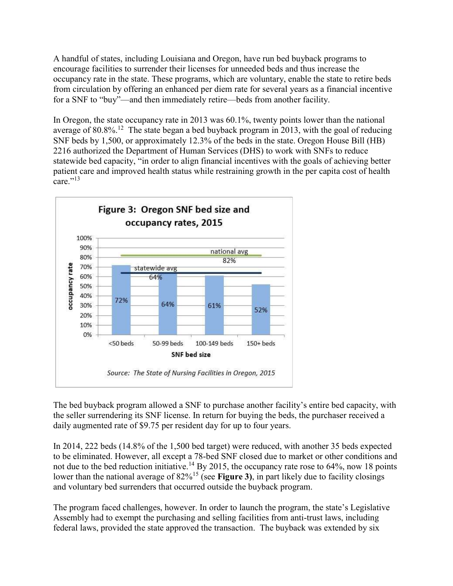A handful of states, including Louisiana and Oregon, have run bed buyback programs to encourage facilities to surrender their licenses for unneeded beds and thus increase the occupancy rate in the state. These programs, which are voluntary, enable the state to retire beds from circulation by offering an enhanced per diem rate for several years as a financial incentive for a SNF to "buy"—and then immediately retire—beds from another facility.

In Oregon, the state occupancy rate in 2013 was 60.1%, twenty points lower than the national average of  $80.8\%$ <sup>12</sup>. The state began a bed buyback program in 2013, with the goal of reducing SNF beds by 1,500, or approximately 12.3% of the beds in the state. Oregon House Bill (HB) 2216 authorized the Department of Human Services (DHS) to work with SNFs to reduce statewide bed capacity, "in order to align financial incentives with the goals of achieving better patient care and improved health status while restraining growth in the per capita cost of health care." $^{13}$ 



The bed buyback program allowed a SNF to purchase another facility's entire bed capacity, with the seller surrendering its SNF license. In return for buying the beds, the purchaser received a daily augmented rate of \$9.75 per resident day for up to four years.

In 2014, 222 beds (14.8% of the 1,500 bed target) were reduced, with another 35 beds expected to be eliminated. However, all except a 78-bed SNF closed due to market or other conditions and not due to the bed reduction initiative.<sup>14</sup> By 2015, the occupancy rate rose to 64%, now 18 points lower than the national average of  $82\%$ <sup>15</sup> (see Figure 3), in part likely due to facility closings and voluntary bed surrenders that occurred outside the buyback program.

The program faced challenges, however. In order to launch the program, the state's Legislative Assembly had to exempt the purchasing and selling facilities from anti-trust laws, including federal laws, provided the state approved the transaction. The buyback was extended by six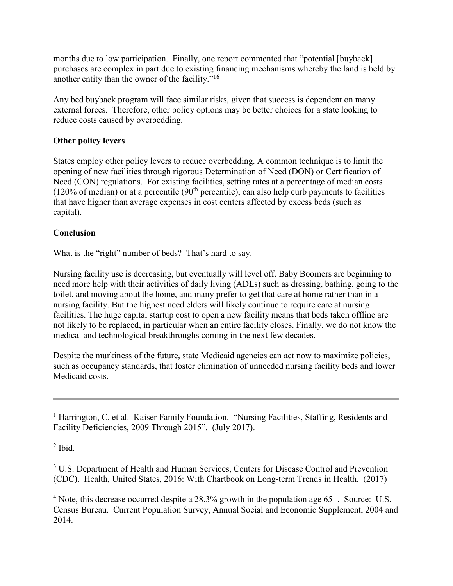months due to low participation. Finally, one report commented that "potential [buyback] purchases are complex in part due to existing financing mechanisms whereby the land is held by another entity than the owner of the facility."<sup>16</sup>

Any bed buyback program will face similar risks, given that success is dependent on many external forces. Therefore, other policy options may be better choices for a state looking to reduce costs caused by overbedding.

### Other policy levers

States employ other policy levers to reduce overbedding. A common technique is to limit the opening of new facilities through rigorous Determination of Need (DON) or Certification of Need (CON) regulations. For existing facilities, setting rates at a percentage of median costs  $(120\% \text{ of median})$  or at a percentile  $(90^{\text{th}}$  percentile), can also help curb payments to facilities that have higher than average expenses in cost centers affected by excess beds (such as capital).

#### **Conclusion**

What is the "right" number of beds? That's hard to say.

Nursing facility use is decreasing, but eventually will level off. Baby Boomers are beginning to need more help with their activities of daily living (ADLs) such as dressing, bathing, going to the toilet, and moving about the home, and many prefer to get that care at home rather than in a nursing facility. But the highest need elders will likely continue to require care at nursing facilities. The huge capital startup cost to open a new facility means that beds taken offline are not likely to be replaced, in particular when an entire facility closes. Finally, we do not know the medical and technological breakthroughs coming in the next few decades.

Despite the murkiness of the future, state Medicaid agencies can act now to maximize policies, such as occupancy standards, that foster elimination of unneeded nursing facility beds and lower Medicaid costs.

<sup>1</sup> Harrington, C. et al. Kaiser Family Foundation. "Nursing Facilities, Staffing, Residents and Facility Deficiencies, 2009 Through 2015". (July 2017).

 $<sup>2</sup>$  Ibid.</sup>

<sup>3</sup> U.S. Department of Health and Human Services, Centers for Disease Control and Prevention (CDC). Health, United States, 2016: With Chartbook on Long-term Trends in Health. (2017)

<sup>4</sup> Note, this decrease occurred despite a 28.3% growth in the population age  $65+$ . Source: U.S. Census Bureau. Current Population Survey, Annual Social and Economic Supplement, 2004 and 2014.